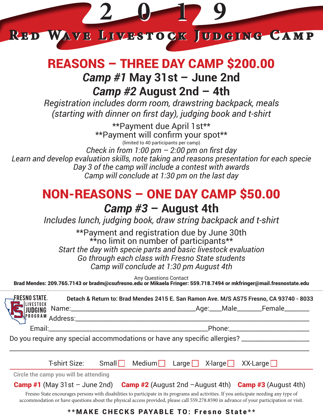

## REASONS – THREE DAY CAMP \$200.00 *Camp #1* **May 31st – June 2nd** *Camp #2* **August 2nd – 4th**

*Registration includes dorm room, drawstring backpack, meals (starting with dinner on first day), judging book and t-shirt*

\*\*Payment due April 1st\*\* \*\*Payment will confirm your spot\*\* (limited to 40 participants per camp) *Check in from 1:00 pm – 2:00 pm on first day Learn and develop evaluation skills, note taking and reasons presentation for each specie Day 3 of the camp will include a contest with awards Camp will conclude at 1:30 pm on the last day*

# NON-REASONS – ONE DAY CAMP \$50.00

### *Camp #3* **– August 4th**

*Includes lunch, judging book, draw string backpack and t-shirt*

\*\*Payment and registration due by June 30th \*\*no limit on number of participants\*\* *Start the day with specie parts and basic livestock evaluation Go through each class with Fresno State students Camp will conclude at 1:30 pm August 4th* 

Any Questions Contact

Brad Mendes: 209.765.7143 or bradm@csufresno.edu or Mikaela Fringer: 559.718.7494 or mkfringer@mail.fresnostate.edu

FRESNO STATE. **Detach & Return to: Brad Mendes 2415 E. San Ramon Ave. M/S AS75 Fresno, CA 93740 - 8033** Name:\_\_\_\_\_\_\_\_\_\_\_\_\_\_\_\_\_\_\_\_\_\_\_\_\_\_\_\_\_\_\_\_\_\_\_\_\_\_\_\_Age:\_\_\_\_Male\_\_\_\_\_\_\_\_Female\_\_\_\_\_\_\_\_ Address:\_\_\_\_\_\_\_\_\_\_\_\_\_\_\_\_\_\_\_\_\_\_\_\_\_\_\_\_\_\_\_\_\_\_\_\_\_\_\_\_\_\_\_\_\_\_\_\_\_\_\_\_\_\_\_\_\_\_\_\_\_\_\_\_\_\_\_\_\_\_\_\_\_\_\_ Email:\_\_\_\_\_\_\_\_\_\_\_\_\_\_\_\_\_\_\_\_\_\_\_\_\_\_\_\_\_\_\_\_\_\_\_\_\_\_\_\_\_\_\_\_\_\_\_\_\_\_\_Phone:\_\_\_\_\_\_\_\_\_\_\_\_\_\_\_\_\_\_\_\_\_\_\_\_\_\_ Do you require any special accommodations or have any specific allergies? \_\_\_\_\_\_\_\_\_\_\_\_\_\_\_\_\_\_\_\_\_\_\_\_\_ \_\_\_\_\_\_\_\_\_\_\_\_\_\_\_\_\_\_\_\_\_\_\_\_\_\_\_\_\_\_\_\_\_\_\_\_\_\_\_\_\_\_\_\_\_\_\_\_\_\_\_\_\_\_\_\_\_\_\_\_\_\_\_\_\_\_\_\_\_\_\_\_\_\_\_\_\_\_\_\_\_\_\_\_\_\_\_\_\_\_\_\_\_\_\_\_\_ T-shirt Size: Small Medium Large  $X$ -large XX-Large **Circle the camp you will be attending Camp #1** (May 31st – June 2nd) **Camp #2** (August 2nd –August 4th) **Camp #3** (August 4th) Fresno State encourages persons with disabilities to participate in its programs and activities. If you anticipate needing any type of accommodation or have questions about the physical access provided, please call 559.278.8590 in advance of your participation or visit.

#### \*\*MAKE CHECKS PAYABLE TO: Fresno State\*\*